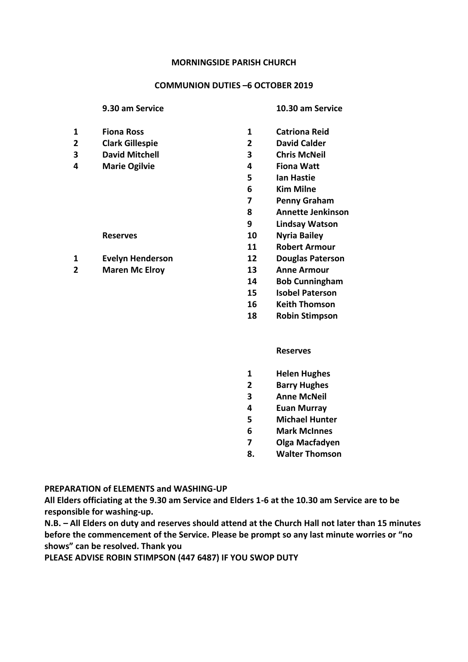## **COMMUNION DUTIES –6 OCTOBER 2019**

### **9.30 am Service 10.30 am Service**

- 
- **Clark Gillespie 2 David Calder**
- **David Mitchell 3 Chris McNeil**
- **Marie Ogilvie 4 Fiona Watt** 
	-
- **Evelyn Henderson 12 Douglas Paterson**
- **Maren Mc Elroy 13 Anne Armour**
- **Fiona Ross 1 Catriona Reid** 
	-
	-
	-
	- **Ian Hastie**
	- **Kim Milne**
	- **Penny Graham**
	- **Annette Jenkinson**
	- **Lindsay Watson**
	- **Reserves 10 Nyria Bailey** 
		- **Robert Armour**
		-
		-
		- **Bob Cunningham**
		- **Isobel Paterson**
		- **Keith Thomson**
		- **Robin Stimpson**

### **Reserves**

- **Helen Hughes**
- **Barry Hughes**
- **Anne McNeil**
- **Euan Murray**
- **Michael Hunter**
- **Mark McInnes**
- **Olga Macfadyen**
- **8. Walter Thomson**

# **PREPARATION of ELEMENTS and WASHING-UP**

**All Elders officiating at the 9.30 am Service and Elders 1-6 at the 10.30 am Service are to be responsible for washing-up.**

**N.B. – All Elders on duty and reserves should attend at the Church Hall not later than 15 minutes before the commencement of the Service. Please be prompt so any last minute worries or "no shows" can be resolved. Thank you**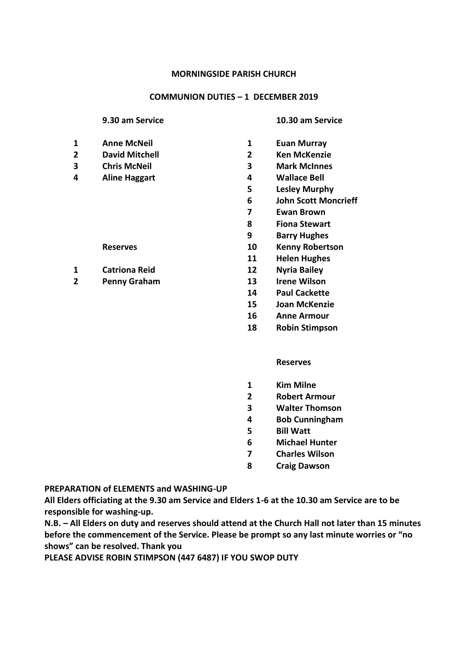# **COMMUNION DUTIES – 1 DECEMBER 2019**

## **9.30 am Service 10.30 am Service**

- 
- **David Mitchell 2 Ken McKenzie**
- 
- **Aline Haggart 4 Wallace Bell**

- **Catriona Reid 12 Nyria Bailey**
- **Penny Graham 13 Irene Wilson**

- **Anne McNeil 1 Euan Murray**
	-
- **Chris McNeil 3 Mark McInnes**
	-
	- **Lesley Murphy**
	- **John Scott Moncrieff**
	- **Ewan Brown**
	- **Fiona Stewart**
	- **Barry Hughes**
	- **Reserves 10 Kenny Robertson**
		- **Helen Hughes**
		-
		-
		- **Paul Cackette**
		- **Joan McKenzie**
		- **Anne Armour**
		- **Robin Stimpson**

# **Reserves**

- **Kim Milne**
- **Robert Armour**
- **Walter Thomson**
- **Bob Cunningham**
- **Bill Watt**
- **Michael Hunter**
- **Charles Wilson**
- **Craig Dawson**

# **PREPARATION of ELEMENTS and WASHING-UP**

**All Elders officiating at the 9.30 am Service and Elders 1-6 at the 10.30 am Service are to be responsible for washing-up.**

**N.B. – All Elders on duty and reserves should attend at the Church Hall not later than 15 minutes before the commencement of the Service. Please be prompt so any last minute worries or "no shows" can be resolved. Thank you**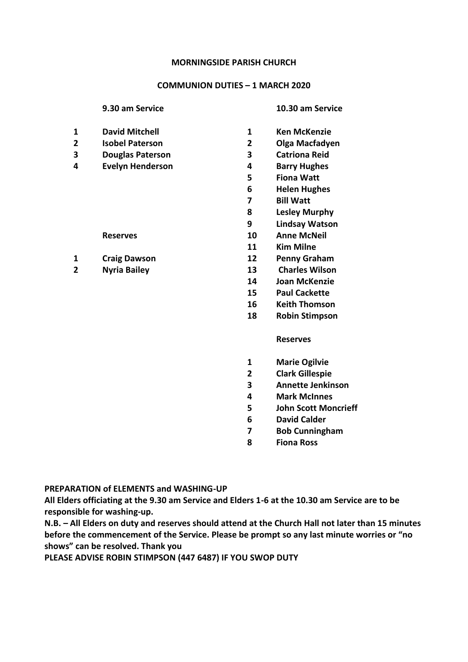## **COMMUNION DUTIES – 1 MARCH 2020**

## **9.30 am Service 10.30 am Service**

- **1 David Mitchell 1 Ken McKenzie**
- **2 Isobel Paterson 2 Olga Macfadyen**
- **3 Douglas Paterson 3 Catriona Reid**
- **4 Evelyn Henderson 4 Barry Hughes**
	-
- **1 Craig Dawson 12 Penny Graham**
- 
- 
- 
- 
- 
- **5 Fiona Watt**
- **6 Helen Hughes**
- **7 Bill Watt**
- **8 Lesley Murphy**
- **9 Lindsay Watson**
- **Reserves 10 Anne McNeil**
	- **11 Kim Milne**
	-
- **2 Nyria Bailey 13 Charles Wilson**
	- **14 Joan McKenzie**
	- **15 Paul Cackette**
	- **16 Keith Thomson**
	- **18 Robin Stimpson**

### **Reserves**

- **1 Marie Ogilvie**
- **2 Clark Gillespie**
- **3 Annette Jenkinson**
- **4 Mark McInnes**
- **5 John Scott Moncrieff**
- **6 David Calder**
- **7 Bob Cunningham**
- **8 Fiona Ross**

### **PREPARATION of ELEMENTS and WASHING-UP**

**All Elders officiating at the 9.30 am Service and Elders 1-6 at the 10.30 am Service are to be responsible for washing-up.**

**N.B. – All Elders on duty and reserves should attend at the Church Hall not later than 15 minutes before the commencement of the Service. Please be prompt so any last minute worries or "no shows" can be resolved. Thank you**